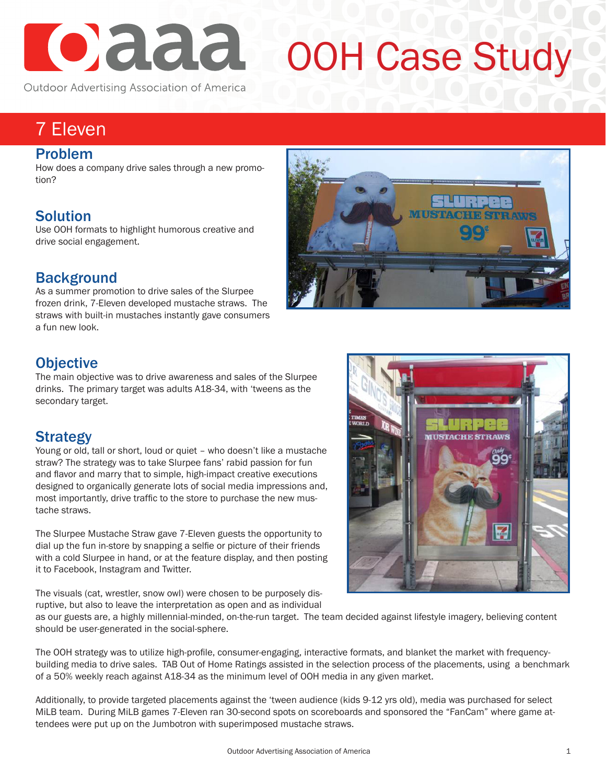

# OOH Case Study

Outdoor Advertising Association of America

# 7 Eleven

#### Problem

How does a company drive sales through a new promotion?

### Solution

Use OOH formats to highlight humorous creative and drive social engagement.



As a summer promotion to drive sales of the Slurpee frozen drink, 7-Eleven developed mustache straws. The straws with built-in mustaches instantly gave consumers a fun new look.



### **Objective**

The main objective was to drive awareness and sales of the Slurpee drinks. The primary target was adults A18-34, with 'tweens as the secondary target.

#### **Strategy**

Young or old, tall or short, loud or quiet – who doesn't like a mustache straw? The strategy was to take Slurpee fans' rabid passion for fun and flavor and marry that to simple, high-impact creative executions designed to organically generate lots of social media impressions and, most importantly, drive traffic to the store to purchase the new mustache straws.

The Slurpee Mustache Straw gave 7-Eleven guests the opportunity to dial up the fun in-store by snapping a selfie or picture of their friends with a cold Slurpee in hand, or at the feature display, and then posting it to Facebook, Instagram and Twitter.

The visuals (cat, wrestler, snow owl) were chosen to be purposely disruptive, but also to leave the interpretation as open and as individual



as our guests are, a highly millennial-minded, on-the-run target. The team decided against lifestyle imagery, believing content should be user-generated in the social-sphere.

The OOH strategy was to utilize high-profile, consumer-engaging, interactive formats, and blanket the market with frequencybuilding media to drive sales. TAB Out of Home Ratings assisted in the selection process of the placements, using a benchmark of a 50% weekly reach against A18-34 as the minimum level of OOH media in any given market.

Additionally, to provide targeted placements against the 'tween audience (kids 9-12 yrs old), media was purchased for select MiLB team. During MiLB games 7-Eleven ran 30-second spots on scoreboards and sponsored the "FanCam" where game attendees were put up on the Jumbotron with superimposed mustache straws.